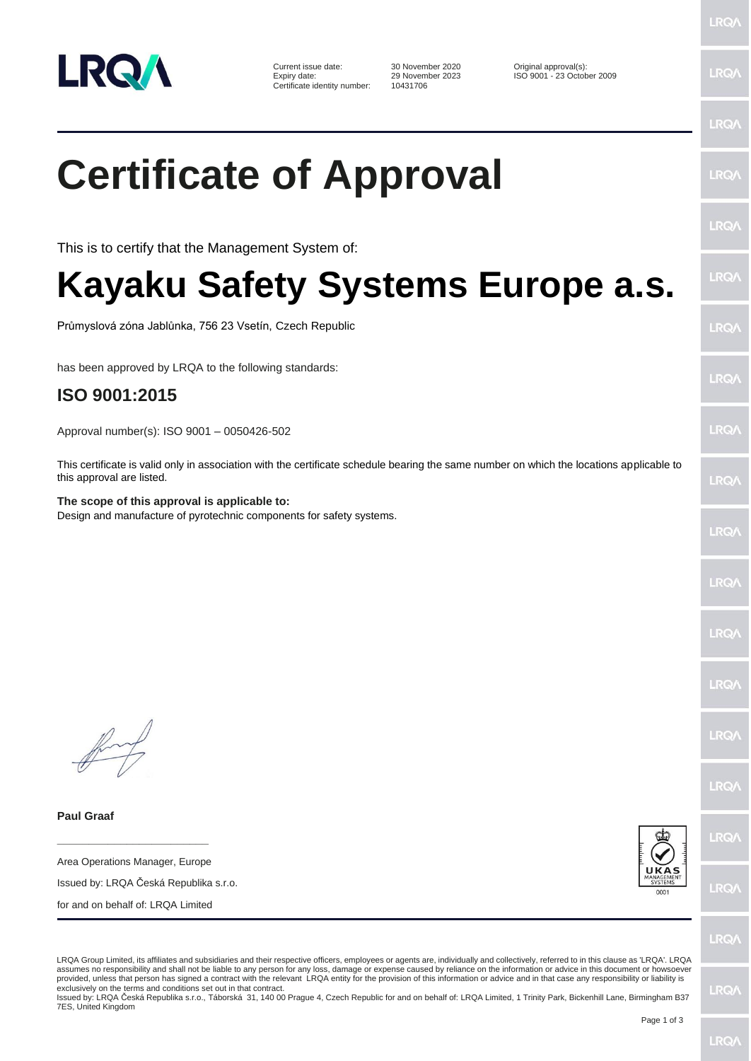

Current issue date: 30 November 2020 Original approval(s):<br>
Expiry date: 29 November 2023 ISO 9001 - 23 Octob Certificate identity number:

29 November 2023 ISO 9001 - 23 October 2009<br>10431706

## **Certificate of Approval**

This is to certify that the Management System of:

## **Kayaku Safety Systems Europe a.s.**

Průmyslová zóna Jablůnka, 756 23 Vsetín, Czech Republic

has been approved by LRQA to the following standards:

## **ISO 9001:2015**

Approval number(s): ISO 9001 – 0050426-502

This certificate is valid only in association with the certificate schedule bearing the same number on which the locations applicable to this approval are listed.

**The scope of this approval is applicable to:** Design and manufacture of pyrotechnic components for safety systems.

**Paul Graaf**

**\_\_\_\_\_\_\_\_\_\_\_\_\_\_\_\_\_\_\_\_\_\_\_\_** Area Operations Manager, Europe

Issued by: LRQA Česká Republika s.r.o.

for and on behalf of: LRQA Limited



**LRO/** 

LRQA Group Limited, its affiliates and subsidiaries and their respective officers, employees or agents are, individually and collectively, referred to in this clause as 'LRQA'. LRQA assumes no responsibility and shall not be liable to any person for any loss, damage or expense caused by reliance on the information or advice in this document or howsoever provided, unless that person has signed a contract with the relevant LRQA entity for the provision of this information or advice and in that case any responsibility or liability is exclusively on the terms and conditions set out in that contract.

Issued by: LRQA Česká Republika s.r.o., Táborská 31, 140 00 Prague 4, Czech Republic for and on behalf of: LRQA Limited, 1 Trinity Park, Bickenhill Lane, Birmingham B37 7ES, United Kingdom

LRQ/

**LRQ/** 

 $RQ$ 

**IRQ/** 

LRQ/

LRQ/

LRQ/

 $RQ$ 

LRQ/

LRQ/

LRQ/

LRQ/

LRQ/

LRQ/

LRQ/

LRQ/

LRQ/

**LRQ/**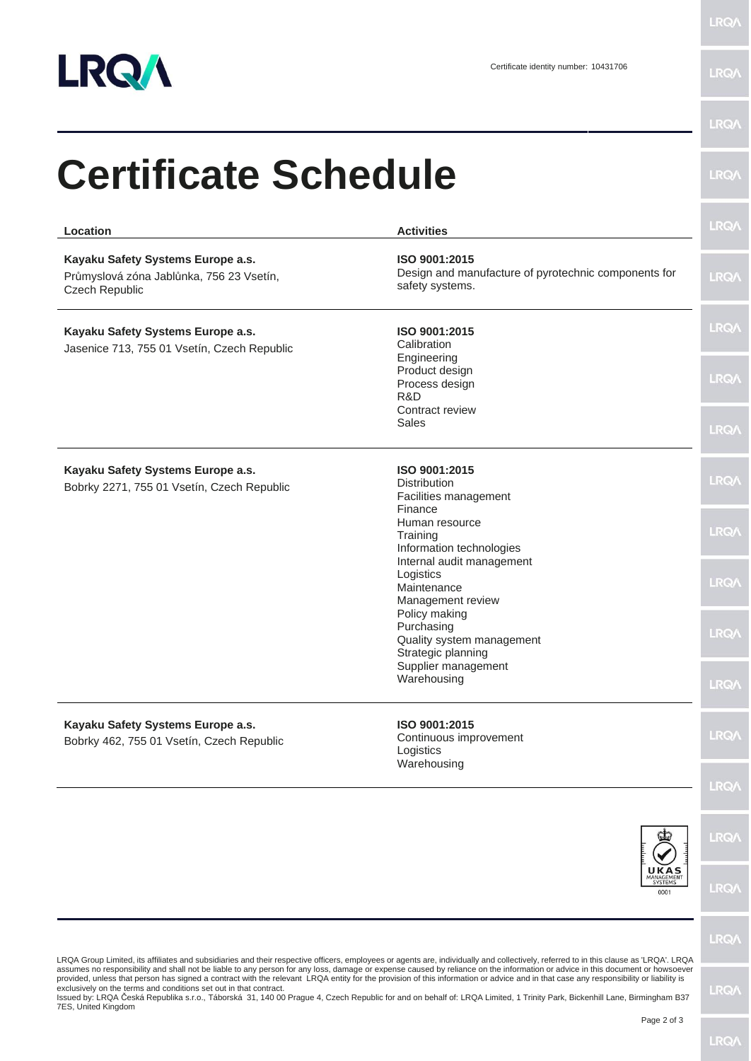

LRQ/\

**LRQA** 

| Location                                                                                                                                                                                                                                                                | <b>Activities</b>                                                                        | <b>LRQA</b>                |
|-------------------------------------------------------------------------------------------------------------------------------------------------------------------------------------------------------------------------------------------------------------------------|------------------------------------------------------------------------------------------|----------------------------|
| Kayaku Safety Systems Europe a.s.<br>Průmyslová zóna Jablůnka, 756 23 Vsetín,<br>Czech Republic                                                                                                                                                                         | ISO 9001:2015<br>Design and manufacture of pyrotechnic components for<br>safety systems. | <b>LRQA</b>                |
| Kayaku Safety Systems Europe a.s.<br>Jasenice 713, 755 01 Vsetín, Czech Republic                                                                                                                                                                                        | ISO 9001:2015<br>Calibration<br>Engineering                                              | <b>LRQA</b>                |
|                                                                                                                                                                                                                                                                         | Product design<br>Process design<br>R&D<br>Contract review<br>Sales                      | <b>LRQA</b><br><b>LRQA</b> |
| Kayaku Safety Systems Europe a.s.<br>Bobrky 2271, 755 01 Vsetín, Czech Republic                                                                                                                                                                                         | ISO 9001:2015<br>Distribution<br>Facilities management<br>Finance                        | <b>LRQA</b>                |
|                                                                                                                                                                                                                                                                         | Human resource<br>Training<br>Information technologies                                   | <b>LRQA</b>                |
|                                                                                                                                                                                                                                                                         | Internal audit management<br>Logistics<br>Maintenance<br>Management review               | <b>LRQA</b>                |
|                                                                                                                                                                                                                                                                         | Policy making<br>Purchasing<br>Quality system management<br>Strategic planning           | <b>LRQA</b>                |
|                                                                                                                                                                                                                                                                         | Supplier management<br>Warehousing                                                       | <b>LRQ/\</b>               |
| Kayaku Safety Systems Europe a.s.<br>Bobrky 462, 755 01 Vsetín, Czech Republic<br>LRQA Group Limited, its affiliates and subsidiaries and their respective officers, employees or agents are, individually and collectively, referred to in this clause as 'LRQA'. LRQA | ISO 9001:2015<br>Continuous improvement<br>Logistics<br>Warehousing                      | <b>LRQA</b>                |
|                                                                                                                                                                                                                                                                         |                                                                                          | <b>LRQA</b>                |
|                                                                                                                                                                                                                                                                         |                                                                                          | <b>LRQA</b>                |
|                                                                                                                                                                                                                                                                         | UKAS<br>MANAGEMENT<br>0001                                                               | <b>LRQA</b>                |
|                                                                                                                                                                                                                                                                         |                                                                                          | <b>LRQA</b>                |